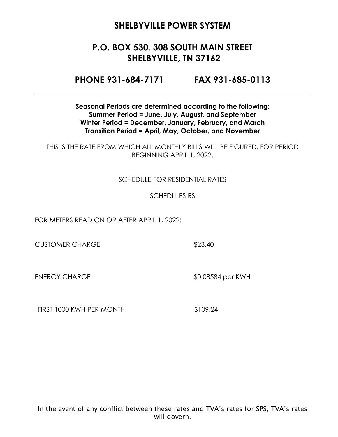# **P.O. BOX 530, 308 SOUTH MAIN STREET SHELBYVILLE, TN 37162**

**PHONE 931-684-7171 FAX 931-685-0113**

**Seasonal Periods are determined according to the following: Summer Period = June, July, August, and September Winter Period = December, January, February, and March Transition Period = April, May, October, and November**

THIS IS THE RATE FROM WHICH ALL MONTHLY BILLS WILL BE FIGURED, FOR PERIOD BEGINNING APRIL 1, 2022.

#### SCHEDULE FOR RESIDENTIAL RATES

#### SCHEDULES RS

FOR METERS READ ON OR AFTER APRIL 1, 2022:

CUSTOMER CHARGE \$23.40

ENERGY CHARGE \$0.08584 per KWH

FIRST 1000 KWH PER MONTH \$109.24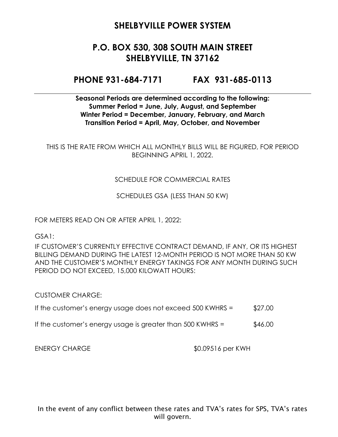# **P.O. BOX 530, 308 SOUTH MAIN STREET SHELBYVILLE, TN 37162**

#### **PHONE 931-684-7171 FAX 931-685-0113**

**Seasonal Periods are determined according to the following: Summer Period = June, July, August, and September Winter Period = December, January, February, and March Transition Period = April, May, October, and November**

THIS IS THE RATE FROM WHICH ALL MONTHLY BILLS WILL BE FIGURED, FOR PERIOD BEGINNING APRIL 1, 2022.

#### SCHEDULE FOR COMMERCIAL RATES

SCHEDULES GSA (LESS THAN 50 KW)

FOR METERS READ ON OR AFTER APRIL 1, 2022:

GSA1:

IF CUSTOMER'S CURRENTLY EFFECTIVE CONTRACT DEMAND, IF ANY, OR ITS HIGHEST BILLING DEMAND DURING THE LATEST 12-MONTH PERIOD IS NOT MORE THAN 50 KW AND THE CUSTOMER'S MONTHLY ENERGY TAKINGS FOR ANY MONTH DURING SUCH PERIOD DO NOT EXCEED, 15,000 KILOWATT HOURS:

CUSTOMER CHARGE:

- If the customer's energy usage does not exceed  $500$  KWHRS =  $$27.00$
- If the customer's energy usage is greater than  $500$  KWHRS =  $$46.00$

ENERGY CHARGE \$0.09516 per KWH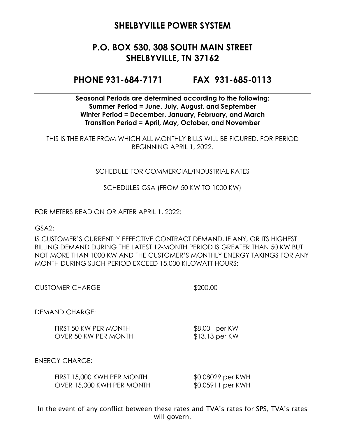# **P.O. BOX 530, 308 SOUTH MAIN STREET SHELBYVILLE, TN 37162**

#### **PHONE 931-684-7171 FAX 931-685-0113**

**Seasonal Periods are determined according to the following: Summer Period = June, July, August, and September Winter Period = December, January, February, and March Transition Period = April, May, October, and November**

THIS IS THE RATE FROM WHICH ALL MONTHLY BILLS WILL BE FIGURED, FOR PERIOD BEGINNING APRIL 1, 2022.

#### SCHEDULE FOR COMMERCIAL/INDUSTRIAL RATES

SCHEDULES GSA (FROM 50 KW TO 1000 KW)

FOR METERS READ ON OR AFTER APRIL 1, 2022:

GSA2:

IS CUSTOMER'S CURRENTLY EFFECTIVE CONTRACT DEMAND, IF ANY, OR ITS HIGHEST BILLING DEMAND DURING THE LATEST 12-MONTH PERIOD IS GREATER THAN 50 KW BUT NOT MORE THAN 1000 KW AND THE CUSTOMER'S MONTHLY ENERGY TAKINGS FOR ANY MONTH DURING SUCH PERIOD EXCEED 15,000 KILOWATT HOURS:

| <b>CUSTOMER CHARGE</b> | \$200.00 |
|------------------------|----------|
|                        |          |

DEMAND CHARGE:

FIRST 50 KW PER MONTH \$8.00 per KW OVER 50 KW PER MONTH \$13.13 per KW

ENERGY CHARGE:

| FIRST 15,000 KWH PER MONTH | \$0.08029 per KWH |
|----------------------------|-------------------|
| OVER 15,000 KWH PER MONTH  | \$0.05911 per KWH |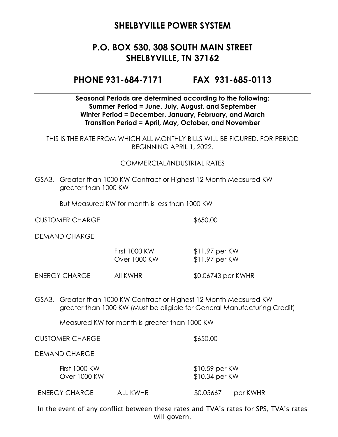# **P.O. BOX 530, 308 SOUTH MAIN STREET SHELBYVILLE, TN 37162**

**PHONE 931-684-7171 FAX 931-685-0113**

**Seasonal Periods are determined according to the following: Summer Period = June, July, August, and September Winter Period = December, January, February, and March Transition Period = April, May, October, and November**

THIS IS THE RATE FROM WHICH ALL MONTHLY BILLS WILL BE FIGURED, FOR PERIOD BEGINNING APRIL 1, 2022.

#### COMMERCIAL/INDUSTRIAL RATES

GSA3, Greater than 1000 KW Contract or Highest 12 Month Measured KW greater than 1000 KW

But Measured KW for month is less than 1000 KW

CUSTOMER CHARGE \$650.00

DEMAND CHARGE

|               | <b>First 1000 KW</b><br>Over 1000 KW | $$11.97$ per KW<br>$$11.97$ per KW |
|---------------|--------------------------------------|------------------------------------|
| ENERGY CHARGE | AII KWHR                             | \$0.06743 per KWHR                 |

GSA3, Greater than 1000 KW Contract or Highest 12 Month Measured KW greater than 1000 KW (Must be eligible for General Manufacturing Credit)

Measured KW for month is greater than 1000 KW

CUSTOMER CHARGE \$650.00

DEMAND CHARGE

First 1000 KW \$10.59 per KW Over 1000 KW \$10.34 per KW

ENERGY CHARGE ALL KWHR \$0.05667 per KWHR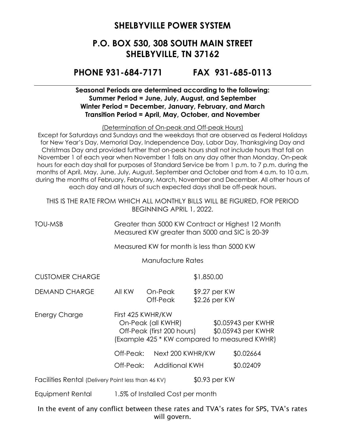### **P.O. BOX 530, 308 SOUTH MAIN STREET SHELBYVILLE, TN 37162**

#### **PHONE 931-684-7171 FAX 931-685-0113**

#### **Seasonal Periods are determined according to the following: Summer Period = June, July, August, and September Winter Period = December, January, February, and March Transition Period = April, May, October, and November**

(Determination of On-peak and Off-peak Hours)

Except for Saturdays and Sundays and the weekdays that are observed as Federal Holidays for New Year's Day, Memorial Day, Independence Day, Labor Day, Thanksgiving Day and Christmas Day and provided further that on-peak hours shall not include hours that fall on November 1 of each year when November 1 falls on any day other than Monday. On-peak hours for each day shall for purposes of Standard Service be from 1 p.m. to 7 p.m. during the months of April, May, June, July, August, September and October and from 4 a.m. to 10 a.m. during the months of February, February, March, November and December. All other hours of each day and all hours of such expected days shall be off-peak hours.

THIS IS THE RATE FROM WHICH ALL MONTHLY BILLS WILL BE FIGURED, FOR PERIOD BEGINNING APRIL 1, 2022.

TOU-MSB Greater than 5000 KW Contract or Highest 12 Month Measured KW greater than 5000 and SIC is 20-39

Measured KW for month is less than 5000 KW

Manufacture Rates

CUSTOMER CHARGE \$1,850.00

DEMAND CHARGE All KW On-Peak \$9.27 per KW Off-Peak \$2.26 per KW

Energy Charge First 425 KWHR/KW On-Peak (all KWHR) \$0.05943 per KWHR Off-Peak (first 200 hours) \$0.05943 per KWHR (Example 425 \* KW compared to measured KWHR)

Off-Peak: Next 200 KWHR/KW \$0.02664

Off-Peak: Additional KWH \$0.02409

Facilities Rental (Delivery Point less than 46 KV) \$0.93 per KW

Equipment Rental 1.5% of Installed Cost per month